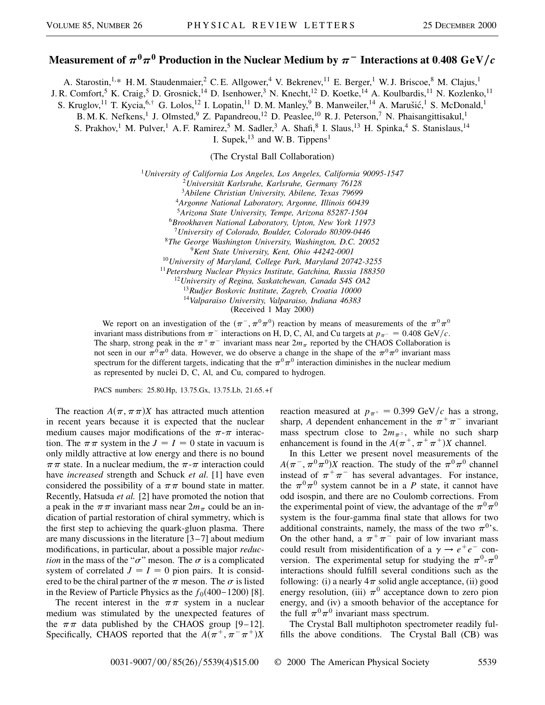## **Measurement of**  $\pi^0\pi^0$  **Production in the Nuclear Medium by**  $\pi^-$  **Interactions at 0.408 GeV/c**

A. Starostin,<sup>1,\*</sup> H.M. Staudenmaier,<sup>2</sup> C.E. Allgower,<sup>4</sup> V. Bekrenev,<sup>11</sup> E. Berger,<sup>1</sup> W.J. Briscoe,<sup>8</sup> M. Clajus,<sup>1</sup>

J. R. Comfort,<sup>5</sup> K. Craig,<sup>5</sup> D. Grosnick,<sup>14</sup> D. Isenhower,<sup>3</sup> N. Knecht,<sup>12</sup> D. Koetke,<sup>14</sup> A. Koulbardis,<sup>11</sup> N. Kozlenko,<sup>11</sup>

S. Kruglov,<sup>11</sup> T. Kycia,<sup>6,†</sup> G. Lolos,<sup>12</sup> I. Lopatin,<sup>11</sup> D.M. Manley,<sup>9</sup> B. Manweiler,<sup>14</sup> A. Marušić,<sup>1</sup> S. McDonald,<sup>1</sup>

B. M. K. Nefkens,<sup>1</sup> J. Olmsted,<sup>9</sup> Z. Papandreou,<sup>12</sup> D. Peaslee,<sup>10</sup> R. J. Peterson,<sup>7</sup> N. Phaisangittisakul,<sup>1</sup>

S. Prakhov,<sup>1</sup> M. Pulver,<sup>1</sup> A. F. Ramirez,<sup>5</sup> M. Sadler,<sup>3</sup> A. Shafi,<sup>8</sup> I. Slaus,<sup>13</sup> H. Spinka,<sup>4</sup> S. Stanislaus,<sup>14</sup>

I. Supek, $^{13}$  and W. B. Tippens<sup>1</sup>

(The Crystal Ball Collaboration)

*University of California Los Angeles, Los Angeles, California 90095-1547 Universität Karlsruhe, Karlsruhe, Germany 76128 Abilene Christian University, Abilene, Texas 79699 Argonne National Laboratory, Argonne, Illinois 60439 Arizona State University, Tempe, Arizona 85287-1504 Brookhaven National Laboratory, Upton, New York 11973 University of Colorado, Boulder, Colorado 80309-0446 The George Washington University, Washington, D.C. 20052 Kent State University, Kent, Ohio 44242-0001 University of Maryland, College Park, Maryland 20742-3255 Petersburg Nuclear Physics Institute, Gatchina, Russia 188350 University of Regina, Saskatchewan, Canada S4S OA2 Rudjer Boskovic Institute, Zagreb, Croatia 10000 Valparaiso University, Valparaiso, Indiana 46383* (Received 1 May 2000)

We report on an investigation of the  $(\pi^-, \pi^0 \pi^0)$  reaction by means of measurements of the  $\pi^0 \pi^0$ invariant mass distributions from  $\pi^-$  interactions on H, D, C, Al, and Cu targets at  $p_{\pi^-} = 0.408 \text{ GeV}/c$ . The sharp, strong peak in the  $\pi^{+}\pi^{-}$  invariant mass near  $2m_{\pi}$  reported by the CHAOS Collaboration is not seen in our  $\pi^0 \pi^0$  data. However, we do observe a change in the shape of the  $\pi^0 \pi^0$  invariant mass spectrum for the different targets, indicating that the  $\pi^0\pi^0$  interaction diminishes in the nuclear medium as represented by nuclei D, C, Al, and Cu, compared to hydrogen.

PACS numbers: 25.80.Hp, 13.75.Gx, 13.75.Lb, 21.65.+f

The reaction  $A(\pi, \pi\pi)X$  has attracted much attention in recent years because it is expected that the nuclear medium causes major modifications of the  $\pi$ - $\pi$  interaction. The  $\pi \pi$  system in the  $J = I = 0$  state in vacuum is only mildly attractive at low energy and there is no bound  $\pi \pi$  state. In a nuclear medium, the  $\pi$ - $\pi$  interaction could have *increased* strength and Schuck *et al.* [1] have even considered the possibility of a  $\pi\pi$  bound state in matter. Recently, Hatsuda *et al.* [2] have promoted the notion that a peak in the  $\pi \pi$  invariant mass near  $2m_{\pi}$  could be an indication of partial restoration of chiral symmetry, which is the first step to achieving the quark-gluon plasma. There are many discussions in the literature [3–7] about medium modifications, in particular, about a possible major *reduction* in the mass of the " $\sigma$ " meson. The  $\sigma$  is a complicated system of correlated  $J = I = 0$  pion pairs. It is considered to be the chiral partner of the  $\pi$  meson. The  $\sigma$  is listed in the Review of Particle Physics as the  $f_0(400-1200)$  [8].

The recent interest in the  $\pi \pi$  system in a nuclear medium was stimulated by the unexpected features of the  $\pi \pi$  data published by the CHAOS group [9–12]. Specifically, CHAOS reported that the  $A(\pi^+,\pi^-\pi^+)X$ 

reaction measured at  $p_{\pi^+} = 0.399 \text{ GeV}/c$  has a strong, sharp, *A* dependent enhancement in the  $\pi^{+}\pi^{-}$  invariant mass spectrum close to  $2m_{\pi^{\pm}}$ , while no such sharp enhancement is found in the  $A(\pi^+, \pi^+ \pi^+)X$  channel.

In this Letter we present novel measurements of the  $A(\pi^-, \pi^0 \pi^0)X$  reaction. The study of the  $\pi^0 \pi^0$  channel instead of  $\pi^+\pi^-$  has several advantages. For instance, the  $\pi^{0}\pi^{0}$  system cannot be in a *P* state, it cannot have odd isospin, and there are no Coulomb corrections. From the experimental point of view, the advantage of the  $\pi^0\pi^0$ system is the four-gamma final state that allows for two additional constraints, namely, the mass of the two  $\pi^{0}$ 's. On the other hand, a  $\pi^{+}\pi^{-}$  pair of low invariant mass could result from misidentification of a  $\gamma \rightarrow e^+e^-$  conversion. The experimental setup for studying the  $\pi^0$ - $\pi^0$ interactions should fulfill several conditions such as the following: (i) a nearly  $4\pi$  solid angle acceptance, (ii) good energy resolution, (iii)  $\pi^0$  acceptance down to zero pion energy, and (iv) a smooth behavior of the acceptance for the full  $\pi^0\pi^0$  invariant mass spectrum.

The Crystal Ball multiphoton spectrometer readily fulfills the above conditions. The Crystal Ball (CB) was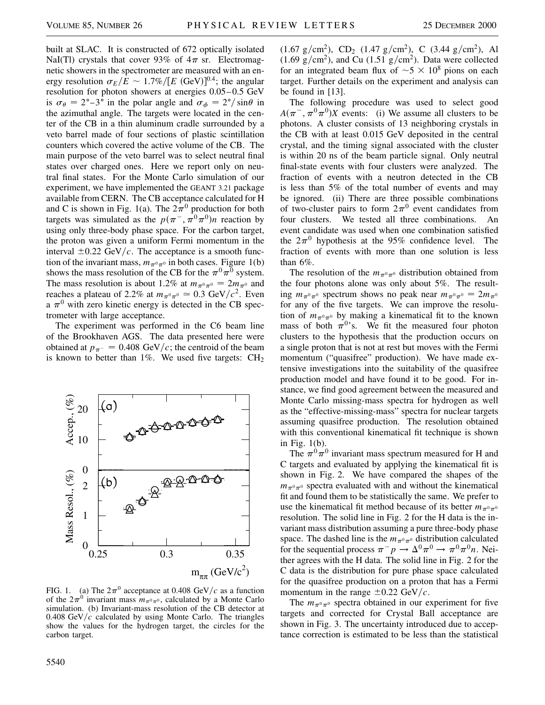built at SLAC. It is constructed of 672 optically isolated NaI(Tl) crystals that cover 93% of  $4\pi$  sr. Electromagnetic showers in the spectrometer are measured with an energy resolution  $\sigma_E/E \sim 1.7\%/[E \text{ (GeV)}]^{0.4}$ ; the angular resolution for photon showers at energies 0.05–0.5 GeV is  $\sigma_{\theta} = 2^{\circ} - 3^{\circ}$  in the polar angle and  $\sigma_{\phi} = 2^{\circ}/\sin\theta$  in the azimuthal angle. The targets were located in the center of the CB in a thin aluminum cradle surrounded by a veto barrel made of four sections of plastic scintillation counters which covered the active volume of the CB. The main purpose of the veto barrel was to select neutral final states over charged ones. Here we report only on neutral final states. For the Monte Carlo simulation of our experiment, we have implemented the GEANT 3.21 package available from CERN. The CB acceptance calculated for H and C is shown in Fig. 1(a). The  $2\pi^0$  production for both targets was simulated as the  $p(\pi^-, \pi^0 \pi^0)n$  reaction by using only three-body phase space. For the carbon target, the proton was given a uniform Fermi momentum in the interval  $\pm 0.22$  GeV/c. The acceptance is a smooth function of the invariant mass,  $m_{\pi^0\pi^0}$  in both cases. Figure 1(b) shows the mass resolution of the CB for the  $\pi^0\pi^0$  system. The mass resolution is about 1.2% at  $m_{\pi^0\pi^0} = 2m_{\pi^0}$  and reaches a plateau of 2.2% at  $m_{\pi^0 \pi^0} \approx 0.3$  GeV/ $c^2$ . Even a  $\pi^0$  with zero kinetic energy is detected in the CB spectrometer with large acceptance.

The experiment was performed in the C6 beam line of the Brookhaven AGS. The data presented here were obtained at  $p_{\pi^-} = 0.408 \text{ GeV}/c$ ; the centroid of the beam is known to better than  $1\%$ . We used five targets:  $CH<sub>2</sub>$ 



FIG. 1. (a) The  $2\pi^0$  acceptance at 0.408 GeV/c as a function of the  $2\pi^0$  invariant mass  $m_{\pi^0\pi^0}$ , calculated by a Monte Carlo simulation. (b) Invariant-mass resolution of the CB detector at 0.408  $GeV/c$  calculated by using Monte Carlo. The triangles show the values for the hydrogen target, the circles for the carbon target.

 $(1.67 \text{ g/cm}^2)$ , CD<sub>2</sub>  $(1.47 \text{ g/cm}^2)$ , C  $(3.44 \text{ g/cm}^2)$ , Al  $(1.69 \text{ g/cm}^2)$ , and Cu  $(1.51 \text{ g/cm}^2)$ . Data were collected for an integrated beam flux of  $\sim 5 \times 10^8$  pions on each target. Further details on the experiment and analysis can be found in [13].

The following procedure was used to select good  $A(\pi^-, \pi^0 \pi^0)X$  events: (i) We assume all clusters to be photons. A cluster consists of 13 neighboring crystals in the CB with at least 0.015 GeV deposited in the central crystal, and the timing signal associated with the cluster is within 20 ns of the beam particle signal. Only neutral final-state events with four clusters were analyzed. The fraction of events with a neutron detected in the CB is less than 5% of the total number of events and may be ignored. (ii) There are three possible combinations of two-cluster pairs to form  $2\pi^0$  event candidates from four clusters. We tested all three combinations. An event candidate was used when one combination satisfied the  $2\pi^0$  hypothesis at the 95% confidence level. The fraction of events with more than one solution is less than 6%.

The resolution of the  $m_{\pi^0\pi^0}$  distribution obtained from the four photons alone was only about 5%. The resulting  $m_{\pi^0\pi^0}$  spectrum shows no peak near  $m_{\pi^0\pi^0} = 2m_{\pi^0}$ for any of the five targets. We can improve the resolution of  $m_{\pi^0\pi^0}$  by making a kinematical fit to the known mass of both  $\pi^{0}$ 's. We fit the measured four photon clusters to the hypothesis that the production occurs on a single proton that is not at rest but moves with the Fermi momentum ("quasifree" production). We have made extensive investigations into the suitability of the quasifree production model and have found it to be good. For instance, we find good agreement between the measured and Monte Carlo missing-mass spectra for hydrogen as well as the "effective-missing-mass" spectra for nuclear targets assuming quasifree production. The resolution obtained with this conventional kinematical fit technique is shown in Fig. 1(b).

The  $\pi^{0}\pi^{0}$  invariant mass spectrum measured for H and C targets and evaluated by applying the kinematical fit is shown in Fig. 2. We have compared the shapes of the  $m_{\pi^0\pi^0}$  spectra evaluated with and without the kinematical fit and found them to be statistically the same. We prefer to use the kinematical fit method because of its better  $m_{\pi^0\pi^0}$ resolution. The solid line in Fig. 2 for the H data is the invariant mass distribution assuming a pure three-body phase space. The dashed line is the  $m_{\pi^0\pi^0}$  distribution calculated for the sequential process  $\pi^- p \to \Delta^0 \pi^0 \to \pi^0 \pi^0 n$ . Neither agrees with the H data. The solid line in Fig. 2 for the C data is the distribution for pure phase space calculated for the quasifree production on a proton that has a Fermi momentum in the range  $\pm 0.22$  GeV/c.

The  $m_{\pi^0\pi^0}$  spectra obtained in our experiment for five targets and corrected for Crystal Ball acceptance are shown in Fig. 3. The uncertainty introduced due to acceptance correction is estimated to be less than the statistical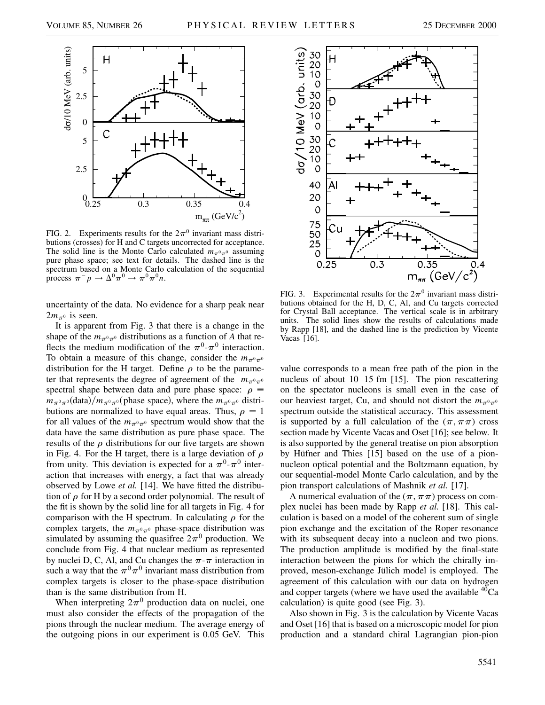

FIG. 2. Experiments results for the  $2\pi^0$  invariant mass distributions (crosses) for H and C targets uncorrected for acceptance. The solid line is the Monte Carlo calculated  $m_{\pi^0\pi^0}$  assuming pure phase space; see text for details. The dashed line is the spectrum based on a Monte Carlo calculation of the sequential process  $\pi^- p \to \Delta^0 \pi^0 \to \pi^0 \pi^0 n$ .

uncertainty of the data. No evidence for a sharp peak near  $2m_{\pi^0}$  is seen.

It is apparent from Fig. 3 that there is a change in the shape of the  $m_{\pi^0\pi^0}$  distributions as a function of *A* that reflects the medium modification of the  $\pi^0$ - $\pi^0$  interaction. To obtain a measure of this change, consider the  $m_{\pi^0\pi^0}$ distribution for the H target. Define  $\rho$  to be the parameter that represents the degree of agreement of the  $m_{\pi^0\pi^0}$ spectral shape between data and pure phase space:  $\rho \equiv$  $m_{\pi^0 \pi^0}$  (data)/ $m_{\pi^0 \pi^0}$  (phase space), where the  $m_{\pi^0 \pi^0}$  distributions are normalized to have equal areas. Thus,  $\rho = 1$ for all values of the  $m_{\pi^0\pi^0}$  spectrum would show that the data have the same distribution as pure phase space. The results of the  $\rho$  distributions for our five targets are shown in Fig. 4. For the H target, there is a large deviation of  $\rho$ from unity. This deviation is expected for a  $\pi^{0}$ - $\pi^{0}$  interaction that increases with energy, a fact that was already observed by Lowe *et al.* [14]. We have fitted the distribution of  $\rho$  for H by a second order polynomial. The result of the fit is shown by the solid line for all targets in Fig. 4 for comparison with the H spectrum. In calculating  $\rho$  for the complex targets, the  $m_{\pi^0\pi^0}$  phase-space distribution was simulated by assuming the quasifree  $2\pi^0$  production. We conclude from Fig. 4 that nuclear medium as represented by nuclei D, C, Al, and Cu changes the  $\pi$ - $\pi$  interaction in such a way that the  $\pi^0\pi^0$  invariant mass distribution from complex targets is closer to the phase-space distribution than is the same distribution from H.

When interpreting  $2\pi^0$  production data on nuclei, one must also consider the effects of the propagation of the pions through the nuclear medium. The average energy of the outgoing pions in our experiment is 0.05 GeV. This



FIG. 3. Experimental results for the  $2\pi^0$  invariant mass distributions obtained for the H, D, C, Al, and Cu targets corrected for Crystal Ball acceptance. The vertical scale is in arbitrary units. The solid lines show the results of calculations made by Rapp [18], and the dashed line is the prediction by Vicente Vacas [16].

value corresponds to a mean free path of the pion in the nucleus of about 10–15 fm [15]. The pion rescattering on the spectator nucleons is small even in the case of our heaviest target, Cu, and should not distort the  $m_{\pi^0\pi^0}$ spectrum outside the statistical accuracy. This assessment is supported by a full calculation of the  $(\pi, \pi\pi)$  cross section made by Vicente Vacas and Oset [16]; see below. It is also supported by the general treatise on pion absorption by Hüfner and Thies [15] based on the use of a pionnucleon optical potential and the Boltzmann equation, by our sequential-model Monte Carlo calculation, and by the pion transport calculations of Mashnik *et al.* [17].

A numerical evaluation of the  $(\pi, \pi\pi)$  process on complex nuclei has been made by Rapp *et al.* [18]. This calculation is based on a model of the coherent sum of single pion exchange and the excitation of the Roper resonance with its subsequent decay into a nucleon and two pions. The production amplitude is modified by the final-state interaction between the pions for which the chirally improved, meson-exchange Jülich model is employed. The agreement of this calculation with our data on hydrogen and copper targets (where we have used the available  ${}^{40}Ca$ calculation) is quite good (see Fig. 3).

Also shown in Fig. 3 is the calculation by Vicente Vacas and Oset [16] that is based on a microscopic model for pion production and a standard chiral Lagrangian pion-pion